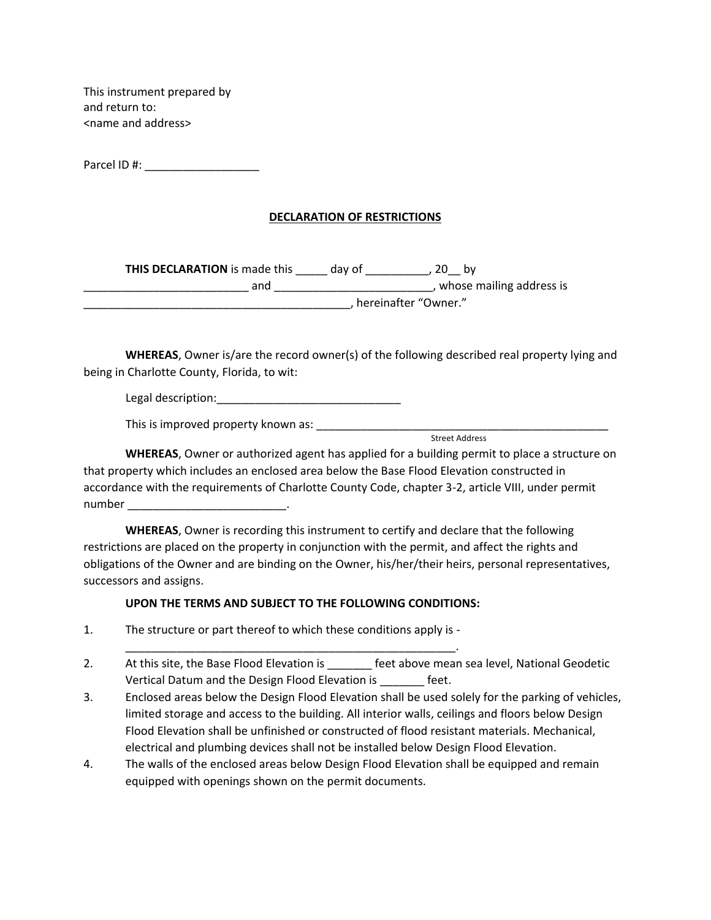This instrument prepared by and return to: <name and address>

Parcel ID #: \_\_\_\_\_\_\_\_\_\_\_\_\_\_\_\_\_\_

## **DECLARATION OF RESTRICTIONS**

| <b>THIS DECLARATION</b> is made this | dav of                 |                          |
|--------------------------------------|------------------------|--------------------------|
| and                                  |                        | whose mailing address is |
|                                      | , hereinafter "Owner." |                          |

**WHEREAS**, Owner is/are the record owner(s) of the following described real property lying and being in Charlotte County, Florida, to wit:

Legal description:\_\_\_\_\_\_\_\_\_\_\_\_\_\_\_\_\_\_\_\_\_\_\_\_\_\_\_\_\_

This is improved property known as: \_\_\_\_\_\_\_\_\_\_\_\_\_\_\_\_\_\_\_\_\_\_\_\_\_\_\_\_\_\_\_\_\_\_\_\_\_\_\_\_\_\_\_\_\_\_

Street Address

**WHEREAS**, Owner or authorized agent has applied for a building permit to place a structure on that property which includes an enclosed area below the Base Flood Elevation constructed in accordance with the requirements of Charlotte County Code, chapter 3-2, article VIII, under permit number \_\_\_\_\_\_\_\_\_\_\_\_\_\_\_\_\_\_\_\_\_\_\_\_\_.

**WHEREAS**, Owner is recording this instrument to certify and declare that the following restrictions are placed on the property in conjunction with the permit, and affect the rights and obligations of the Owner and are binding on the Owner, his/her/their heirs, personal representatives, successors and assigns.

## **UPON THE TERMS AND SUBJECT TO THE FOLLOWING CONDITIONS:**

\_\_\_\_\_\_\_\_\_\_\_\_\_\_\_\_\_\_\_\_\_\_\_\_\_\_\_\_\_\_\_\_\_\_\_\_\_\_\_\_\_\_\_\_\_\_\_\_\_\_\_\_.

- 1. The structure or part thereof to which these conditions apply is -
- 2. At this site, the Base Flood Elevation is each other above mean sea level, National Geodetic Vertical Datum and the Design Flood Elevation is \_\_\_\_\_\_\_ feet.
- 3. Enclosed areas below the Design Flood Elevation shall be used solely for the parking of vehicles, limited storage and access to the building. All interior walls, ceilings and floors below Design Flood Elevation shall be unfinished or constructed of flood resistant materials. Mechanical, electrical and plumbing devices shall not be installed below Design Flood Elevation.
- 4. The walls of the enclosed areas below Design Flood Elevation shall be equipped and remain equipped with openings shown on the permit documents.